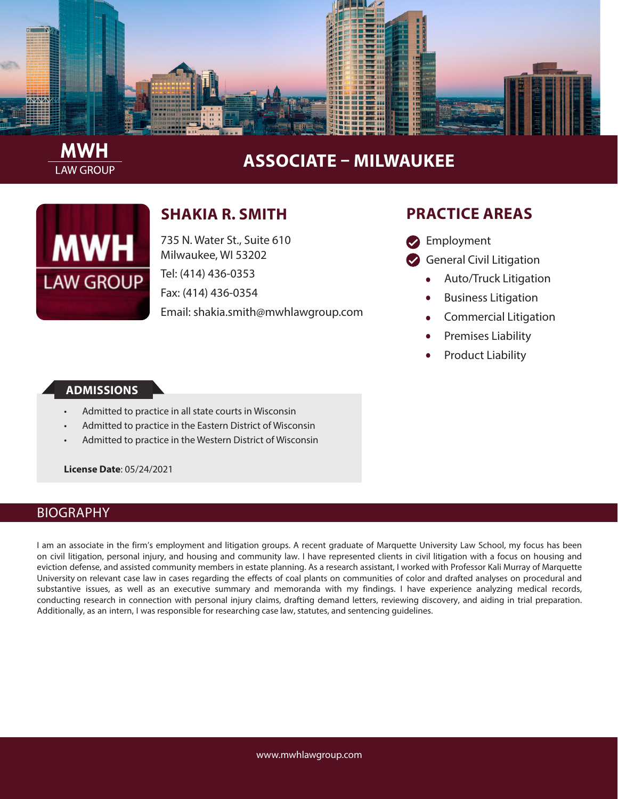

# **ASSOCIATE – MILWAUKEE**

| MWH              |
|------------------|
| <b>LAW GROUP</b> |

**LAW GROUP** 

## **SHAKIA R. SMITH**

735 N. Water St., Suite 610 Milwaukee, WI 53202 Tel: (414) 436-0353 Fax: (414) 436-0354 Email: shakia.smith@mwhlawgroup.com

### **PRACTICE AREAS**

- **Employment**
- General Civil Litigation
	- Auto/Truck Litigation
	- Business Litigation
	- Commercial Litigation
	- Premises Liability
	- Product Liability

#### **ADMISSIONS**

- Admitted to practice in all state courts in Wisconsin
- Admitted to practice in the Eastern District of Wisconsin
- Admitted to practice in the Western District of Wisconsin

**License Date**: 05/24/2021

#### BIOGRAPHY

I am an associate in the firm's employment and litigation groups. A recent graduate of Marquette University Law School, my focus has been on civil litigation, personal injury, and housing and community law. I have represented clients in civil litigation with a focus on housing and eviction defense, and assisted community members in estate planning. As a research assistant, I worked with Professor Kali Murray of Marquette University on relevant case law in cases regarding the effects of coal plants on communities of color and drafted analyses on procedural and substantive issues, as well as an executive summary and memoranda with my findings. I have experience analyzing medical records, conducting research in connection with personal injury claims, drafting demand letters, reviewing discovery, and aiding in trial preparation. Additionally, as an intern, I was responsible for researching case law, statutes, and sentencing guidelines.